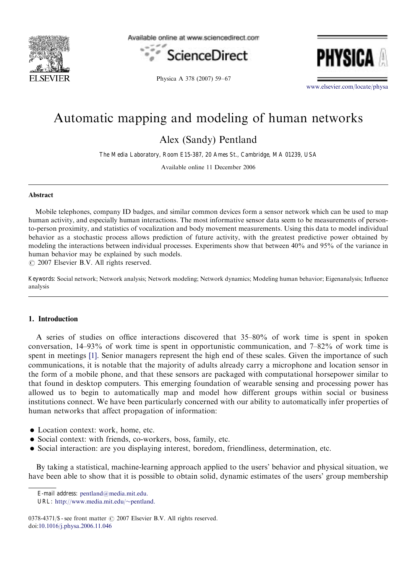

Available online at www.sciencedirect.com





Physica A 378 (2007) 59–67

<www.elsevier.com/locate/physa>

# Automatic mapping and modeling of human networks

Alex (Sandy) Pentland

The Media Laboratory, Room E15-387, 20 Ames St., Cambridge, MA 01239, USA

Available online 11 December 2006

#### Abstract

Mobile telephones, company ID badges, and similar common devices form a sensor network which can be used to map human activity, and especially human interactions. The most informative sensor data seem to be measurements of personto-person proximity, and statistics of vocalization and body movement measurements. Using this data to model individual behavior as a stochastic process allows prediction of future activity, with the greatest predictive power obtained by modeling the interactions between individual processes. Experiments show that between 40% and 95% of the variance in human behavior may be explained by such models.

 $\odot$  2007 Elsevier B.V. All rights reserved.

Keywords: Social network; Network analysis; Network modeling; Network dynamics; Modeling human behavior; Eigenanalysis; Influence analysis

## 1. Introduction

A series of studies on office interactions discovered that 35–80% of work time is spent in spoken conversation, 14–93% of work time is spent in opportunistic communication, and 7–82% of work time is spent in meetings [\[1\].](#page-8-0) Senior managers represent the high end of these scales. Given the importance of such communications, it is notable that the majority of adults already carry a microphone and location sensor in the form of a mobile phone, and that these sensors are packaged with computational horsepower similar to that found in desktop computers. This emerging foundation of wearable sensing and processing power has allowed us to begin to automatically map and model how different groups within social or business institutions connect. We have been particularly concerned with our ability to automatically infer properties of human networks that affect propagation of information:

- Location context: work, home, etc.
- Social context: with friends, co-workers, boss, family, etc.
- Social interaction: are you displaying interest, boredom, friendliness, determination, etc.

By taking a statistical, machine-learning approach applied to the users' behavior and physical situation, we have been able to show that it is possible to obtain solid, dynamic estimates of the users' group membership

E-mail address: [pentland@media.mit.edu.](mailto:pentland@media.mit.edu)

URL: [http://www.media.mit.edu/](http://www.media.mit.edu/~pentland) $\sim$ [pentland.](http://www.media.mit.edu/~pentland)

 $0378-4371/\$ S - see front matter  $\odot$  2007 Elsevier B.V. All rights reserved. doi:[10.1016/j.physa.2006.11.046](dx.doi.org/10.1016/j.physa.2006.11.046)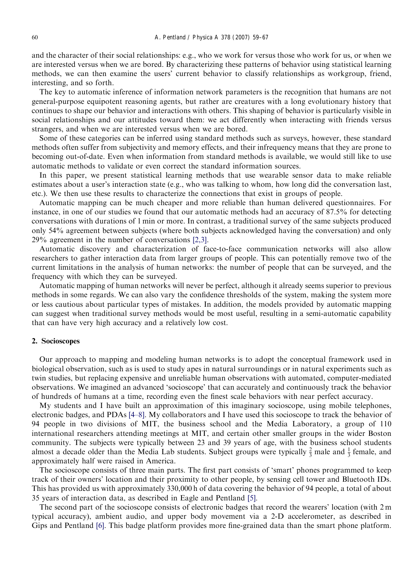and the character of their social relationships: e.g., who we work for versus those who work for us, or when we are interested versus when we are bored. By characterizing these patterns of behavior using statistical learning methods, we can then examine the users' current behavior to classify relationships as workgroup, friend, interesting, and so forth.

The key to automatic inference of information network parameters is the recognition that humans are not general-purpose equipotent reasoning agents, but rather are creatures with a long evolutionary history that continues to shape our behavior and interactions with others. This shaping of behavior is particularly visible in social relationships and our attitudes toward them: we act differently when interacting with friends versus strangers, and when we are interested versus when we are bored.

Some of these categories can be inferred using standard methods such as surveys, however, these standard methods often suffer from subjectivity and memory effects, and their infrequency means that they are prone to becoming out-of-date. Even when information from standard methods is available, we would still like to use automatic methods to validate or even correct the standard information sources.

In this paper, we present statistical learning methods that use wearable sensor data to make reliable estimates about a user's interaction state (e.g., who was talking to whom, how long did the conversation last, etc.). We then use these results to characterize the connections that exist in groups of people.

Automatic mapping can be much cheaper and more reliable than human delivered questionnaires. For instance, in one of our studies we found that our automatic methods had an accuracy of  $87.5\%$  for detecting conversations with durations of 1 min or more. In contrast, a traditional survey of the same subjects produced only 54% agreement between subjects (where both subjects acknowledged having the conversation) and only 29% agreement in the number of conversations [\[2,3\].](#page-8-0)

Automatic discovery and characterization of face-to-face communication networks will also allow researchers to gather interaction data from larger groups of people. This can potentially remove two of the current limitations in the analysis of human networks: the number of people that can be surveyed, and the frequency with which they can be surveyed.

Automatic mapping of human networks will never be perfect, although it already seems superior to previous methods in some regards. We can also vary the confidence thresholds of the system, making the system more or less cautious about particular types of mistakes. In addition, the models provided by automatic mapping can suggest when traditional survey methods would be most useful, resulting in a semi-automatic capability that can have very high accuracy and a relatively low cost.

## 2. Socioscopes

Our approach to mapping and modeling human networks is to adopt the conceptual framework used in biological observation, such as is used to study apes in natural surroundings or in natural experiments such as twin studies, but replacing expensive and unreliable human observations with automated, computer-mediated observations. We imagined an advanced 'socioscope' that can accurately and continuously track the behavior of hundreds of humans at a time, recording even the finest scale behaviors with near perfect accuracy.

My students and I have built an approximation of this imaginary socioscope, using mobile telephones, electronic badges, and PDAs [\[4–8\]](#page-8-0). My collaborators and I have used this socioscope to track the behavior of 94 people in two divisions of MIT, the business school and the Media Laboratory, a group of 110 international researchers attending meetings at MIT, and certain other smaller groups in the wider Boston community. The subjects were typically between 23 and 39 years of age, with the business school students almost a decade older than the Media Lab students. Subject groups were typically  $\frac{2}{3}$  male and  $\frac{1}{3}$  female, and approximately half were raised in America.

The socioscope consists of three main parts. The first part consists of 'smart' phones programmed to keep track of their owners' location and their proximity to other people, by sensing cell tower and Bluetooth IDs. This has provided us with approximately 330,000 h of data covering the behavior of 94 people, a total of about 35 years of interaction data, as described in Eagle and Pentland [\[5\]](#page-8-0).

The second part of the socioscope consists of electronic badges that record the wearers' location (with 2 m typical accuracy), ambient audio, and upper body movement via a 2-D accelerometer, as described in Gips and Pentland [\[6\]](#page-8-0). This badge platform provides more fine-grained data than the smart phone platform.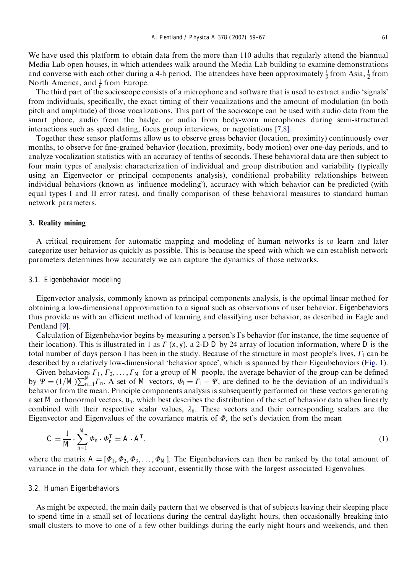We have used this platform to obtain data from the more than 110 adults that regularly attend the biannual Media Lab open houses, in which attendees walk around the Media Lab building to examine demonstrations and converse with each other during a 4-h period. The attendees have been approximately  $\frac{1}{3}$  from Asia,  $\frac{1}{2}$  from North America, and  $\frac{1}{6}$  from Europe.

The third part of the socioscope consists of a microphone and software that is used to extract audio 'signals' from individuals, specifically, the exact timing of their vocalizations and the amount of modulation (in both pitch and amplitude) of those vocalizations. This part of the socioscope can be used with audio data from the smart phone, audio from the badge, or audio from body-worn microphones during semi-structured interactions such as speed dating, focus group interviews, or negotiations [\[7,8\].](#page-8-0)

Together these sensor platforms allow us to observe gross behavior (location, proximity) continuously over months, to observe for fine-grained behavior (location, proximity, body motion) over one-day periods, and to analyze vocalization statistics with an accuracy of tenths of seconds. These behavioral data are then subject to four main types of analysis: characterization of individual and group distribution and variability (typically using an Eigenvector or principal components analysis), conditional probability relationships between individual behaviors (known as 'influence modeling'), accuracy with which behavior can be predicted (with equal types I and II error rates), and finally comparison of these behavioral measures to standard human network parameters.

#### 3. Reality mining

A critical requirement for automatic mapping and modeling of human networks is to learn and later categorize user behavior as quickly as possible. This is because the speed with which we can establish network parameters determines how accurately we can capture the dynamics of those networks.

#### 3.1. Eigenbehavior modeling

Eigenvector analysis, commonly known as principal components analysis, is the optimal linear method for obtaining a low-dimensional approximation to a signal such as observations of user behavior. Eigenbehaviors thus provide us with an efficient method of learning and classifying user behavior, as described in Eagle and Pentland [\[9\]](#page-8-0).

Calculation of Eigenbehavior begins by measuring a person's I's behavior (for instance, the time sequence of their location). This is illustrated in 1 as  $\Gamma_i(x, y)$ , a 2-D D by 24 array of location information, where D is the total number of days person I has been in the study. Because of the structure in most people's lives,  $\Gamma_i$  can be described by a relatively low-dimensional 'behavior space', which is spanned by their Eigenbehaviors [\(Fig. 1](#page-3-0)).

Given behaviors  $\Gamma_1, \Gamma_2, \ldots, \Gamma_M$  for a group of M people, the average behavior of the group can be defined by  $\Psi = (1/M)\sum_{n=1}^{M} \Gamma_n$ . A set of M vectors,  $\Phi_i = \Gamma_i - \Psi$ , are defined to be the deviation of an individual's behavior from the mean. Principle components analysis is subsequently performed on these vectors generating a set M orthonormal vectors,  $u_n$ , which best describes the distribution of the set of behavior data when linearly combined with their respective scalar values,  $\lambda_n$ . These vectors and their corresponding scalars are the Eigenvector and Eigenvalues of the covariance matrix of  $\Phi$ , the set's deviation from the mean

$$
C = \frac{1}{M} \cdot \sum_{n=1}^{M} \Phi_n \cdot \Phi_n^T = A \cdot A^T,
$$
\n(1)

where the matrix  $A = [\Phi_1, \Phi_2, \Phi_3, \dots, \Phi_M]$ . The Eigenbehaviors can then be ranked by the total amount of variance in the data for which they account, essentially those with the largest associated Eigenvalues.

#### 3.2. Human Eigenbehaviors

As might be expected, the main daily pattern that we observed is that of subjects leaving their sleeping place to spend time in a small set of locations during the central daylight hours, then occasionally breaking into small clusters to move to one of a few other buildings during the early night hours and weekends, and then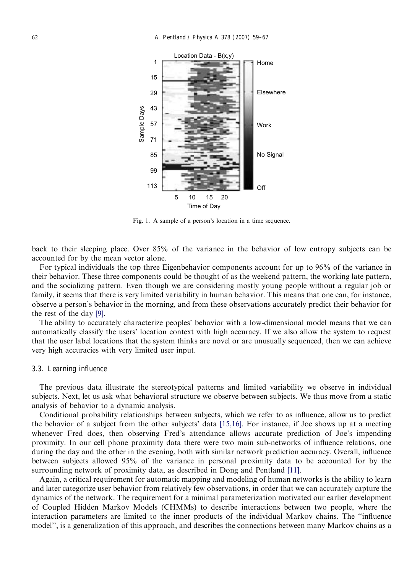<span id="page-3-0"></span>

Fig. 1. A sample of a person's location in a time sequence.

back to their sleeping place. Over 85% of the variance in the behavior of low entropy subjects can be accounted for by the mean vector alone.

For typical individuals the top three Eigenbehavior components account for up to 96% of the variance in their behavior. These three components could be thought of as the weekend pattern, the working late pattern, and the socializing pattern. Even though we are considering mostly young people without a regular job or family, it seems that there is very limited variability in human behavior. This means that one can, for instance, observe a person's behavior in the morning, and from these observations accurately predict their behavior for the rest of the day [\[9\]](#page-8-0).

The ability to accurately characterize peoples' behavior with a low-dimensional model means that we can automatically classify the users' location context with high accuracy. If we also allow the system to request that the user label locations that the system thinks are novel or are unusually sequenced, then we can achieve very high accuracies with very limited user input.

## 3.3. Learning influence

The previous data illustrate the stereotypical patterns and limited variability we observe in individual subjects. Next, let us ask what behavioral structure we observe between subjects. We thus move from a static analysis of behavior to a dynamic analysis.

Conditional probability relationships between subjects, which we refer to as influence, allow us to predict the behavior of a subject from the other subjects' data  $[15,16]$ . For instance, if Joe shows up at a meeting whenever Fred does, then observing Fred's attendance allows accurate prediction of Joe's impending proximity. In our cell phone proximity data there were two main sub-networks of influence relations, one during the day and the other in the evening, both with similar network prediction accuracy. Overall, influence between subjects allowed 95% of the variance in personal proximity data to be accounted for by the surrounding network of proximity data, as described in Dong and Pentland [\[11\]](#page-8-0).

Again, a critical requirement for automatic mapping and modeling of human networks is the ability to learn and later categorize user behavior from relatively few observations, in order that we can accurately capture the dynamics of the network. The requirement for a minimal parameterization motivated our earlier development of Coupled Hidden Markov Models (CHMMs) to describe interactions between two people, where the interaction parameters are limited to the inner products of the individual Markov chains. The ''influence model'', is a generalization of this approach, and describes the connections between many Markov chains as a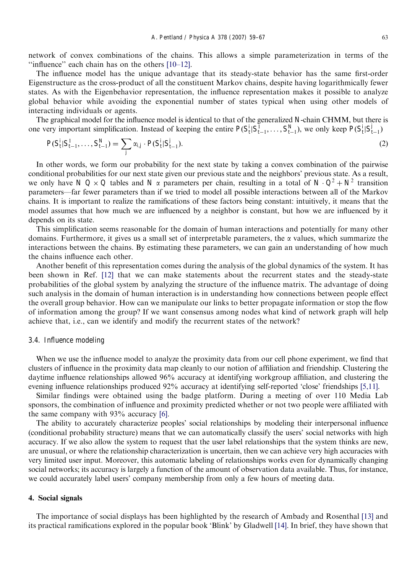network of convex combinations of the chains. This allows a simple parameterization in terms of the ''influence'' each chain has on the others [\[10–12\]](#page-8-0).

The influence model has the unique advantage that its steady-state behavior has the same first-order Eigenstructure as the cross-product of all the constituent Markov chains, despite having logarithmically fewer states. As with the Eigenbehavior representation, the influence representation makes it possible to analyze global behavior while avoiding the exponential number of states typical when using other models of interacting individuals or agents.

The graphical model for the influence model is identical to that of the generalized N-chain CHMM, but there is one very important simplification. Instead of keeping the entire  $P(S_t^i | S_{t-1}^{\overline{I}}, \ldots, S_{t-1}^N)$ , we only keep  $P(S_t^i | S_{t-1}^{\overline{I}})$ 

$$
P(S_t^i|S_{t-1}^1,\ldots,S_{t-1}^N) = \sum_j \alpha_{i,j} \cdot P(S_t^i|S_{t-1}^j).
$$
\n(2)

In other words, we form our probability for the next state by taking a convex combination of the pairwise conditional probabilities for our next state given our previous state and the neighbors' previous state. As a result, we only have N Q  $\times$  Q tables and N  $\alpha$  parameters per chain, resulting in a total of N  $\cdot$  Q<sup>2</sup> + N<sup>2</sup> transition parameters—far fewer parameters than if we tried to model all possible interactions between all of the Markov chains. It is important to realize the ramifications of these factors being constant: intuitively, it means that the model assumes that how much we are influenced by a neighbor is constant, but how we are influenced by it depends on its state.

This simplification seems reasonable for the domain of human interactions and potentially for many other domains. Furthermore, it gives us a small set of interpretable parameters, the  $\alpha$  values, which summarize the interactions between the chains. By estimating these parameters, we can gain an understanding of how much the chains influence each other.

Another benefit of this representation comes during the analysis of the global dynamics of the system. It has been shown in Ref. [\[12\]](#page-8-0) that we can make statements about the recurrent states and the steady-state probabilities of the global system by analyzing the structure of the influence matrix. The advantage of doing such analysis in the domain of human interaction is in understanding how connections between people effect the overall group behavior. How can we manipulate our links to better propagate information or stop the flow of information among the group? If we want consensus among nodes what kind of network graph will help achieve that, i.e., can we identify and modify the recurrent states of the network?

### 3.4. Influence modeling

When we use the influence model to analyze the proximity data from our cell phone experiment, we find that clusters of influence in the proximity data map cleanly to our notion of affiliation and friendship. Clustering the daytime influence relationships allowed 96% accuracy at identifying workgroup affiliation, and clustering the evening influence relationships produced 92% accuracy at identifying self-reported 'close' friendships [\[5,11\].](#page-8-0)

Similar findings were obtained using the badge platform. During a meeting of over 110 Media Lab sponsors, the combination of influence and proximity predicted whether or not two people were affiliated with the same company with 93% accuracy [\[6\]](#page-8-0).

The ability to accurately characterize peoples' social relationships by modeling their interpersonal influence (conditional probability structure) means that we can automatically classify the users' social networks with high accuracy. If we also allow the system to request that the user label relationships that the system thinks are new, are unusual, or where the relationship characterization is uncertain, then we can achieve very high accuracies with very limited user input. Moreover, this automatic labeling of relationships works even for dynamically changing social networks; its accuracy is largely a function of the amount of observation data available. Thus, for instance, we could accurately label users' company membership from only a few hours of meeting data.

## 4. Social signals

The importance of social displays has been highlighted by the research of Ambady and Rosenthal [\[13\]](#page-8-0) and its practical ramifications explored in the popular book 'Blink' by Gladwell [\[14\].](#page-8-0) In brief, they have shown that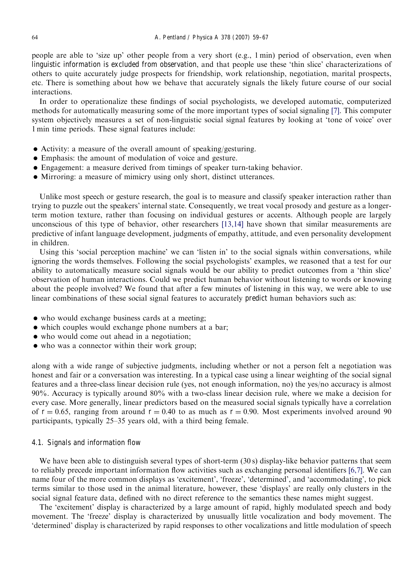people are able to 'size up' other people from a very short (e.g., 1 min) period of observation, even when linguistic information is excluded from observation, and that people use these 'thin slice' characterizations of others to quite accurately judge prospects for friendship, work relationship, negotiation, marital prospects, etc. There is something about how we behave that accurately signals the likely future course of our social interactions.

In order to operationalize these findings of social psychologists, we developed automatic, computerized methods for automatically measuring some of the more important types of social signaling [\[7\].](#page-8-0) This computer system objectively measures a set of non-linguistic social signal features by looking at 'tone of voice' over 1 min time periods. These signal features include:

- Activity: a measure of the overall amount of speaking/gesturing.
- Emphasis: the amount of modulation of voice and gesture.
- Engagement: a measure derived from timings of speaker turn-taking behavior.
- Mirroring: a measure of mimicry using only short, distinct utterances.

Unlike most speech or gesture research, the goal is to measure and classify speaker interaction rather than trying to puzzle out the speakers' internal state. Consequently, we treat vocal prosody and gesture as a longerterm motion texture, rather than focusing on individual gestures or accents. Although people are largely unconscious of this type of behavior, other researchers  $[13,14]$  have shown that similar measurements are predictive of infant language development, judgments of empathy, attitude, and even personality development in children.

Using this 'social perception machine' we can 'listen in' to the social signals within conversations, while ignoring the words themselves. Following the social psychologists' examples, we reasoned that a test for our ability to automatically measure social signals would be our ability to predict outcomes from a 'thin slice' observation of human interactions. Could we predict human behavior without listening to words or knowing about the people involved? We found that after a few minutes of listening in this way, we were able to use linear combinations of these social signal features to accurately predict human behaviors such as:

- who would exchange business cards at a meeting;
- which couples would exchange phone numbers at a bar;
- who would come out ahead in a negotiation;
- who was a connector within their work group;

along with a wide range of subjective judgments, including whether or not a person felt a negotiation was honest and fair or a conversation was interesting. In a typical case using a linear weighting of the social signal features and a three-class linear decision rule (yes, not enough information, no) the yes/no accuracy is almost 90%. Accuracy is typically around 80% with a two-class linear decision rule, where we make a decision for every case. More generally, linear predictors based on the measured social signals typically have a correlation of  $r = 0.65$ , ranging from around  $r = 0.40$  to as much as  $r = 0.90$ . Most experiments involved around 90 participants, typically 25–35 years old, with a third being female.

### 4.1. Signals and information flow

We have been able to distinguish several types of short-term (30 s) display-like behavior patterns that seem to reliably precede important information flow activities such as exchanging personal identifiers [\[6,7\].](#page-8-0) We can name four of the more common displays as 'excitement', 'freeze', 'determined', and 'accommodating', to pick terms similar to those used in the animal literature, however, these 'displays' are really only clusters in the social signal feature data, defined with no direct reference to the semantics these names might suggest.

The 'excitement' display is characterized by a large amount of rapid, highly modulated speech and body movement. The 'freeze' display is characterized by unusually little vocalization and body movement. The 'determined' display is characterized by rapid responses to other vocalizations and little modulation of speech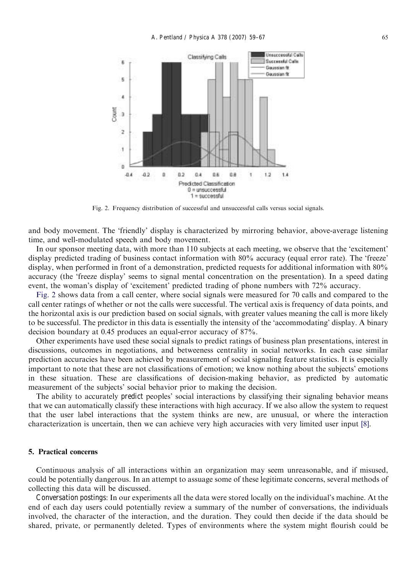

Fig. 2. Frequency distribution of successful and unsuccessful calls versus social signals.

and body movement. The 'friendly' display is characterized by mirroring behavior, above-average listening time, and well-modulated speech and body movement.

In our sponsor meeting data, with more than 110 subjects at each meeting, we observe that the 'excitement' display predicted trading of business contact information with 80% accuracy (equal error rate). The 'freeze' display, when performed in front of a demonstration, predicted requests for additional information with 80% accuracy (the 'freeze display' seems to signal mental concentration on the presentation). In a speed dating event, the woman's display of 'excitement' predicted trading of phone numbers with 72% accuracy.

Fig. 2 shows data from a call center, where social signals were measured for 70 calls and compared to the call center ratings of whether or not the calls were successful. The vertical axis is frequency of data points, and the horizontal axis is our prediction based on social signals, with greater values meaning the call is more likely to be successful. The predictor in this data is essentially the intensity of the 'accommodating' display. A binary decision boundary at 0.45 produces an equal-error accuracy of 87%.

Other experiments have used these social signals to predict ratings of business plan presentations, interest in discussions, outcomes in negotiations, and betweeness centrality in social networks. In each case similar prediction accuracies have been achieved by measurement of social signaling feature statistics. It is especially important to note that these are not classifications of emotion; we know nothing about the subjects' emotions in these situation. These are classifications of decision-making behavior, as predicted by automatic measurement of the subjects' social behavior prior to making the decision.

The ability to accurately predict peoples' social interactions by classifying their signaling behavior means that we can automatically classify these interactions with high accuracy. If we also allow the system to request that the user label interactions that the system thinks are new, are unusual, or where the interaction characterization is uncertain, then we can achieve very high accuracies with very limited user input [\[8\]](#page-8-0).

## 5. Practical concerns

Continuous analysis of all interactions within an organization may seem unreasonable, and if misused, could be potentially dangerous. In an attempt to assuage some of these legitimate concerns, several methods of collecting this data will be discussed.

Conversation postings: In our experiments all the data were stored locally on the individual's machine. At the end of each day users could potentially review a summary of the number of conversations, the individuals involved, the character of the interaction, and the duration. They could then decide if the data should be shared, private, or permanently deleted. Types of environments where the system might flourish could be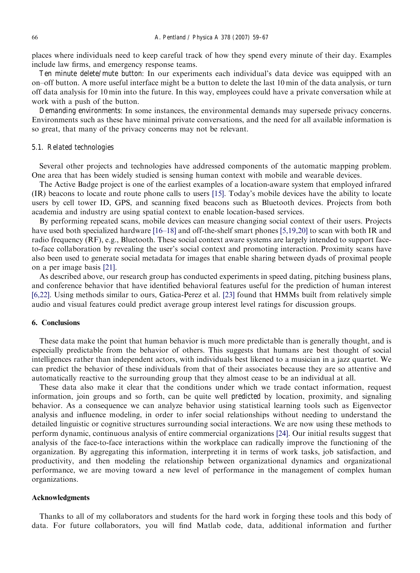places where individuals need to keep careful track of how they spend every minute of their day. Examples include law firms, and emergency response teams.

Ten minute delete/mute button: In our experiments each individual's data device was equipped with an on–off button. A more useful interface might be a button to delete the last 10 min of the data analysis, or turn off data analysis for 10 min into the future. In this way, employees could have a private conversation while at work with a push of the button.

Demanding environments: In some instances, the environmental demands may supersede privacy concerns. Environments such as these have minimal private conversations, and the need for all available information is so great, that many of the privacy concerns may not be relevant.

## 5.1. Related technologies

Several other projects and technologies have addressed components of the automatic mapping problem. One area that has been widely studied is sensing human context with mobile and wearable devices.

The Active Badge project is one of the earliest examples of a location-aware system that employed infrared (IR) beacons to locate and route phone calls to users [\[15\]](#page-8-0). Today's mobile devices have the ability to locate users by cell tower ID, GPS, and scanning fixed beacons such as Bluetooth devices. Projects from both academia and industry are using spatial context to enable location-based services.

By performing repeated scans, mobile devices can measure changing social context of their users. Projects have used both specialized hardware [\[16–18\]](#page-8-0) and off-the-shelf smart phones [\[5,19,20\]](#page-8-0) to scan with both IR and radio frequency (RF), e.g., Bluetooth. These social context aware systems are largely intended to support faceto-face collaboration by revealing the user's social context and promoting interaction. Proximity scans have also been used to generate social metadata for images that enable sharing between dyads of proximal people on a perimage basis [\[21\]](#page-8-0).

As described above, our research group has conducted experiments in speed dating, pitching business plans, and conference behavior that have identified behavioral features useful for the prediction of human interest [\[6,22\]](#page-8-0). Using methods similar to ours, Gatica-Perez et al. [\[23\]](#page-8-0) found that HMMs built from relatively simple audio and visual features could predict average group interest level ratings for discussion groups.

### 6. Conclusions

These data make the point that human behavior is much more predictable than is generally thought, and is especially predictable from the behavior of others. This suggests that humans are best thought of social intelligences rather than independent actors, with individuals best likened to a musician in a jazz quartet. We can predict the behavior of these individuals from that of their associates because they are so attentive and automatically reactive to the surrounding group that they almost cease to be an individual at all.

These data also make it clear that the conditions under which we trade contact information, request information, join groups and so forth, can be quite well predicted by location, proximity, and signaling behavior. As a consequence we can analyze behavior using statistical learning tools such as Eigenvector analysis and influence modeling, in order to infer social relationships without needing to understand the detailed linguistic or cognitive structures surrounding social interactions. We are now using these methods to perform dynamic, continuous analysis of entire commercial organizations [\[24\]](#page-8-0). Ourinitial results suggest that analysis of the face-to-face interactions within the workplace can radically improve the functioning of the organization. By aggregating this information, interpreting it in terms of work tasks, job satisfaction, and productivity, and then modeling the relationship between organizational dynamics and organizational performance, we are moving toward a new level of performance in the management of complex human organizations.

## Acknowledgments

Thanks to all of my collaborators and students for the hard work in forging these tools and this body of data. For future collaborators, you will find Matlab code, data, additional information and further